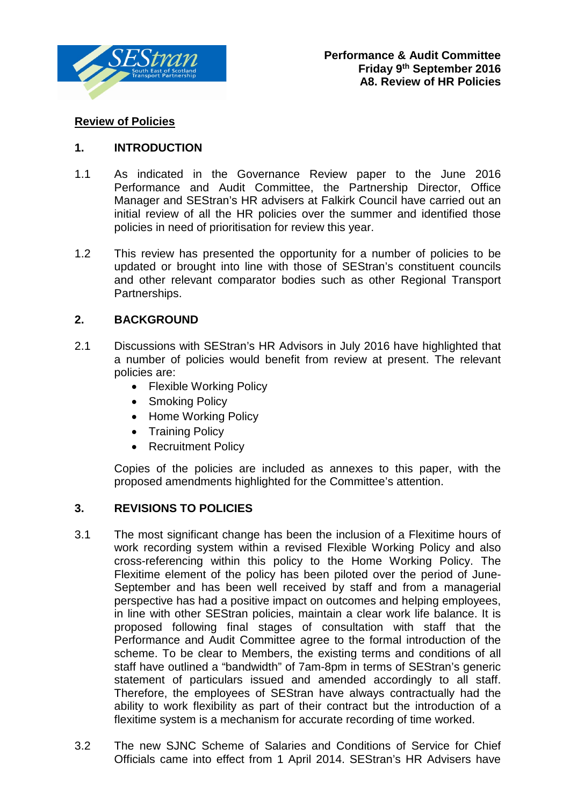

## **Review of Policies**

#### **1. INTRODUCTION**

- 1.1 As indicated in the Governance Review paper to the June 2016 Performance and Audit Committee, the Partnership Director, Office Manager and SEStran's HR advisers at Falkirk Council have carried out an initial review of all the HR policies over the summer and identified those policies in need of prioritisation for review this year.
- 1.2 This review has presented the opportunity for a number of policies to be updated or brought into line with those of SEStran's constituent councils and other relevant comparator bodies such as other Regional Transport Partnerships.

#### **2. BACKGROUND**

- 2.1 Discussions with SEStran's HR Advisors in July 2016 have highlighted that a number of policies would benefit from review at present. The relevant policies are:
	- Flexible Working Policy
	- Smoking Policy
	- Home Working Policy
	- Training Policy
	- Recruitment Policy

Copies of the policies are included as annexes to this paper, with the proposed amendments highlighted for the Committee's attention.

#### **3. REVISIONS TO POLICIES**

- 3.1 The most significant change has been the inclusion of a Flexitime hours of work recording system within a revised Flexible Working Policy and also cross-referencing within this policy to the Home Working Policy. The Flexitime element of the policy has been piloted over the period of June-September and has been well received by staff and from a managerial perspective has had a positive impact on outcomes and helping employees, in line with other SEStran policies, maintain a clear work life balance. It is proposed following final stages of consultation with staff that the Performance and Audit Committee agree to the formal introduction of the scheme. To be clear to Members, the existing terms and conditions of all staff have outlined a "bandwidth" of 7am-8pm in terms of SEStran's generic statement of particulars issued and amended accordingly to all staff. Therefore, the employees of SEStran have always contractually had the ability to work flexibility as part of their contract but the introduction of a flexitime system is a mechanism for accurate recording of time worked.
- 3.2 The new SJNC Scheme of Salaries and Conditions of Service for Chief Officials came into effect from 1 April 2014. SEStran's HR Advisers have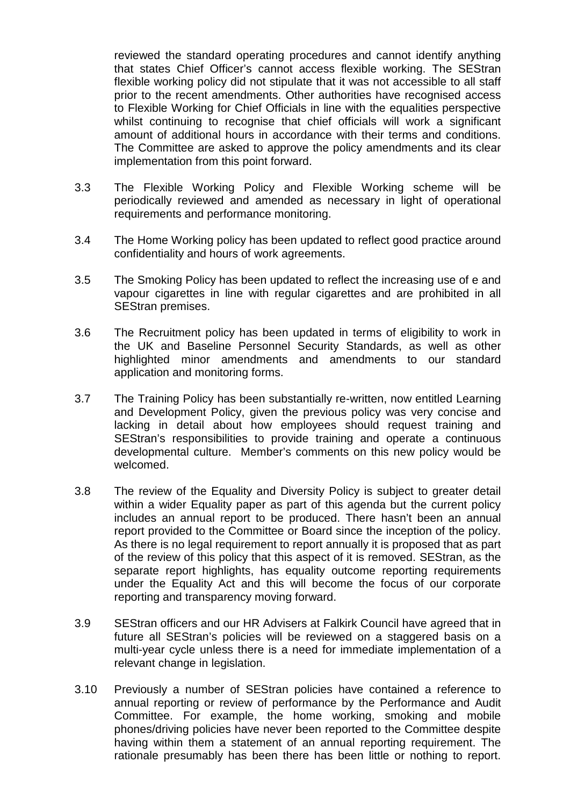reviewed the standard operating procedures and cannot identify anything that states Chief Officer's cannot access flexible working. The SEStran flexible working policy did not stipulate that it was not accessible to all staff prior to the recent amendments. Other authorities have recognised access to Flexible Working for Chief Officials in line with the equalities perspective whilst continuing to recognise that chief officials will work a significant amount of additional hours in accordance with their terms and conditions. The Committee are asked to approve the policy amendments and its clear implementation from this point forward.

- 3.3 The Flexible Working Policy and Flexible Working scheme will be periodically reviewed and amended as necessary in light of operational requirements and performance monitoring.
- 3.4 The Home Working policy has been updated to reflect good practice around confidentiality and hours of work agreements.
- 3.5 The Smoking Policy has been updated to reflect the increasing use of e and vapour cigarettes in line with regular cigarettes and are prohibited in all SEStran premises.
- 3.6 The Recruitment policy has been updated in terms of eligibility to work in the UK and Baseline Personnel Security Standards, as well as other highlighted minor amendments and amendments to our standard application and monitoring forms.
- 3.7 The Training Policy has been substantially re-written, now entitled Learning and Development Policy, given the previous policy was very concise and lacking in detail about how employees should request training and SEStran's responsibilities to provide training and operate a continuous developmental culture. Member's comments on this new policy would be welcomed.
- 3.8 The review of the Equality and Diversity Policy is subject to greater detail within a wider Equality paper as part of this agenda but the current policy includes an annual report to be produced. There hasn't been an annual report provided to the Committee or Board since the inception of the policy. As there is no legal requirement to report annually it is proposed that as part of the review of this policy that this aspect of it is removed. SEStran, as the separate report highlights, has equality outcome reporting requirements under the Equality Act and this will become the focus of our corporate reporting and transparency moving forward.
- 3.9 SEStran officers and our HR Advisers at Falkirk Council have agreed that in future all SEStran's policies will be reviewed on a staggered basis on a multi-year cycle unless there is a need for immediate implementation of a relevant change in legislation.
- 3.10 Previously a number of SEStran policies have contained a reference to annual reporting or review of performance by the Performance and Audit Committee. For example, the home working, smoking and mobile phones/driving policies have never been reported to the Committee despite having within them a statement of an annual reporting requirement. The rationale presumably has been there has been little or nothing to report.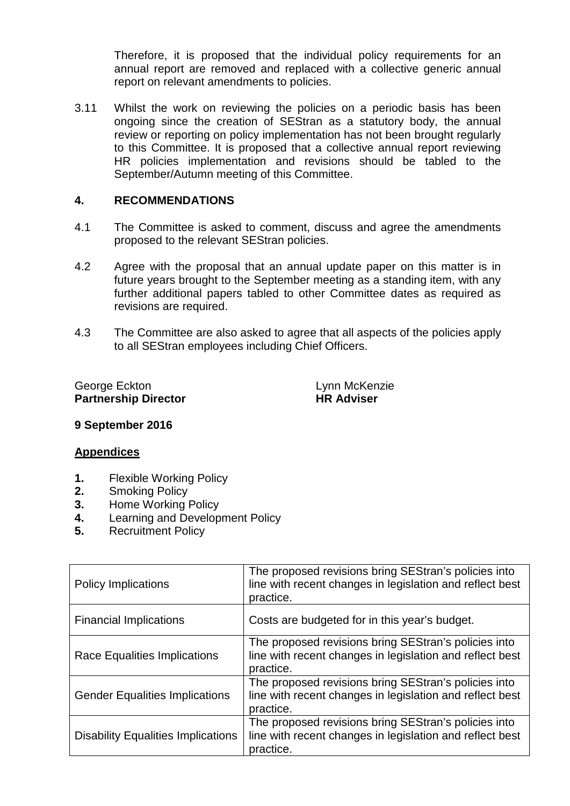Therefore, it is proposed that the individual policy requirements for an annual report are removed and replaced with a collective generic annual report on relevant amendments to policies.

3.11 Whilst the work on reviewing the policies on a periodic basis has been ongoing since the creation of SEStran as a statutory body, the annual review or reporting on policy implementation has not been brought regularly to this Committee. It is proposed that a collective annual report reviewing HR policies implementation and revisions should be tabled to the September/Autumn meeting of this Committee.

#### **4. RECOMMENDATIONS**

- 4.1 The Committee is asked to comment, discuss and agree the amendments proposed to the relevant SEStran policies.
- 4.2 Agree with the proposal that an annual update paper on this matter is in future years brought to the September meeting as a standing item, with any further additional papers tabled to other Committee dates as required as revisions are required.
- 4.3 The Committee are also asked to agree that all aspects of the policies apply to all SEStran employees including Chief Officers.

George Eckton **Lynn** McKenzie **Partnership Director HR Adviser** 

**9 September 2016**

#### **Appendices**

- **1.** Flexible Working Policy
- **2.** Smoking Policy
- **3.** Home Working Policy
- **4.** Learning and Development Policy<br>**5.** Recruitment Policy
- **5.** Recruitment Policy

| <b>Policy Implications</b>                | The proposed revisions bring SEStran's policies into<br>line with recent changes in legislation and reflect best<br>practice. |
|-------------------------------------------|-------------------------------------------------------------------------------------------------------------------------------|
| <b>Financial Implications</b>             | Costs are budgeted for in this year's budget.                                                                                 |
| Race Equalities Implications              | The proposed revisions bring SEStran's policies into<br>line with recent changes in legislation and reflect best<br>practice. |
| <b>Gender Equalities Implications</b>     | The proposed revisions bring SEStran's policies into<br>line with recent changes in legislation and reflect best<br>practice. |
| <b>Disability Equalities Implications</b> | The proposed revisions bring SEStran's policies into<br>line with recent changes in legislation and reflect best<br>practice. |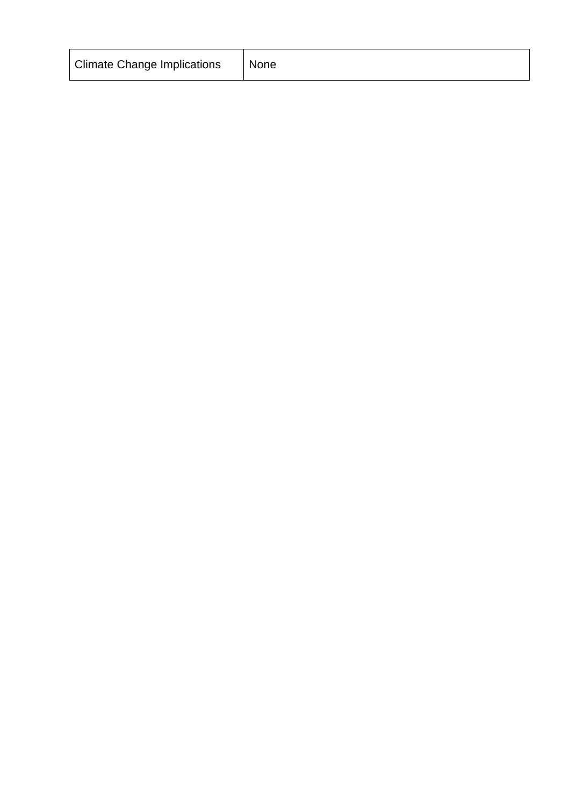| <b>Climate Change Implications</b> | None |
|------------------------------------|------|
|------------------------------------|------|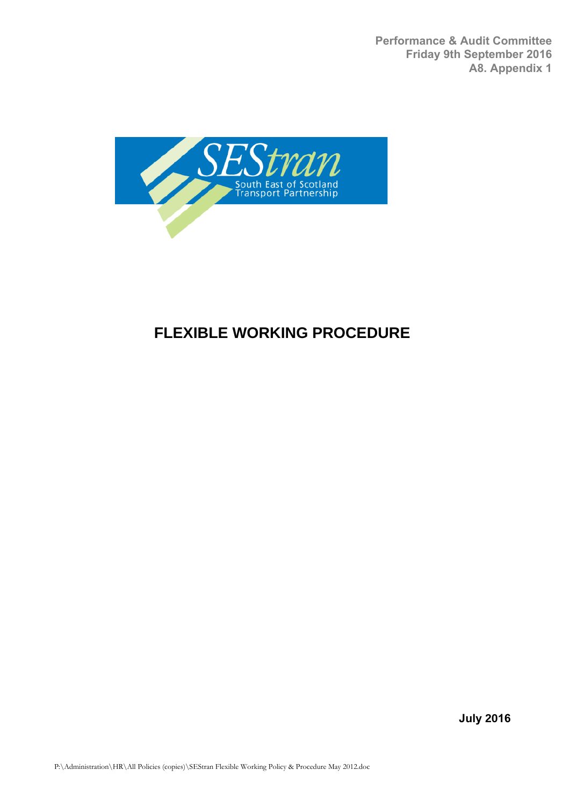**Performance & Audit Committee Friday 9th September 2016 A8. Appendix 1**



# **FLEXIBLE WORKING PROCEDURE**

**July 2016**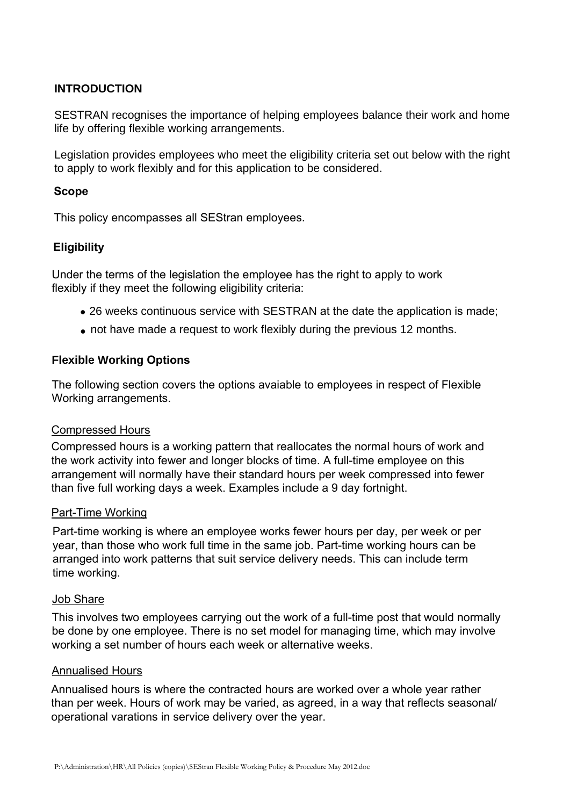#### **INTRODUCTION**

SESTRAN recognises the importance of helping employees balance their work and home life by offering flexible working arrangements.

Legislation provides employees who meet the eligibility criteria set out below with the right to apply to work flexibly and for this application to be considered.

#### **Scope**

This policy encompasses all SEStran employees.

## **Eligibility**

Under the terms of the legislation the employee has the right to apply to work flexibly if they meet the following eligibility criteria:

- 26 weeks continuous service with SESTRAN at the date the application is made;
- not have made a request to work flexibly during the previous 12 months.

#### **Flexible Working Options**

The following section covers the options avaiable to employees in respect of Flexible Working arrangements.

#### Compressed Hours

Compressed hours is a working pattern that reallocates the normal hours of work and the work activity into fewer and longer blocks of time. A full-time employee on this arrangement will normally have their standard hours per week compressed into fewer than five full working days a week. Examples include a 9 day fortnight.

#### Part-Time Working

Part-time working is where an employee works fewer hours per day, per week or per year, than those who work full time in the same job. Part-time working hours can be arranged into work patterns that suit service delivery needs. This can include term time working.

#### Job Share

This involves two employees carrying out the work of a full-time post that would normally be done by one employee. There is no set model for managing time, which may involve working a set number of hours each week or alternative weeks.

#### Annualised Hours

Annualised hours is where the contracted hours are worked over a whole year rather than per week. Hours of work may be varied, as agreed, in a way that reflects seasonal/ operational varations in service delivery over the year.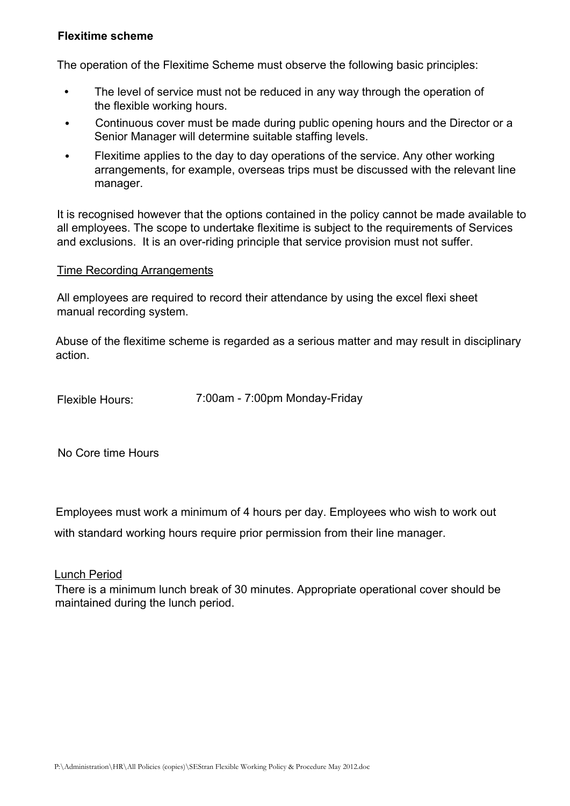#### **Flexitime scheme**

The operation of the Flexitime Scheme must observe the following basic principles:

- **•** The level of service must not be reduced in any way through the operation of the flexible working hours.
- **•** Continuous cover must be made during public opening hours and the Director or a Senior Manager will determine suitable staffing levels.
- Flexitime applies to the day to day operations of the service. Any other working arrangements, for example, overseas trips must be discussed with the relevant line manager. **•**

It is recognised however that the options contained in the policy cannot be made available to all employees. The scope to undertake flexitime is subject to the requirements of Services and exclusions. It is an over-riding principle that service provision must not suffer.

#### Time Recording Arrangements

All employees are required to record their attendance by using the excel flexi sheet manual recording system.

Abuse of the flexitime scheme is regarded as a serious matter and may result in disciplinary action.

Flexible Hours: 7:00am - 7:00pm Monday-Friday

No Core time Hours

Employees must work a minimum of 4 hours per day. Employees who wish to work out

with standard working hours require prior permission from their line manager.

Lunch Period

There is a minimum lunch break of 30 minutes. Appropriate operational cover should be maintained during the lunch period.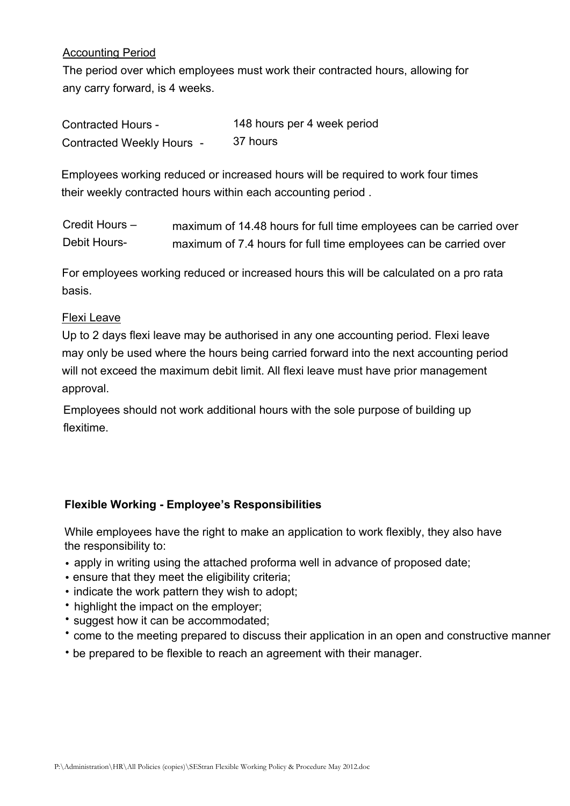### Accounting Period

The period over which employees must work their contracted hours, allowing for any carry forward, is 4 weeks.

| <b>Contracted Hours -</b> | 148 hours per 4 week period |
|---------------------------|-----------------------------|
| Contracted Weekly Hours - | 37 hours                    |

Employees working reduced or increased hours will be required to work four times their weekly contracted hours within each accounting period .

| Credit Hours - | maximum of 14.48 hours for full time employees can be carried over |
|----------------|--------------------------------------------------------------------|
| Debit Hours-   | maximum of 7.4 hours for full time employees can be carried over   |

For employees working reduced or increased hours this will be calculated on a pro rata basis.

#### Flexi Leave

Up to 2 days flexi leave may be authorised in any one accounting period. Flexi leave may only be used where the hours being carried forward into the next accounting period will not exceed the maximum debit limit. All flexi leave must have prior management approval.

Employees should not work additional hours with the sole purpose of building up flexitime.

## **Flexible Working - Employee's Responsibilities**

While employees have the right to make an application to work flexibly, they also have the responsibility to:

- apply in writing using the attached proforma well in advance of proposed date;
- ensure that they meet the eligibility criteria;
- indicate the work pattern they wish to adopt;
- highlight the impact on the employer;
- suggest how it can be accommodated;
- come to the meeting prepared to discuss their application in an open and constructive manner
- be prepared to be flexible to reach an agreement with their manager.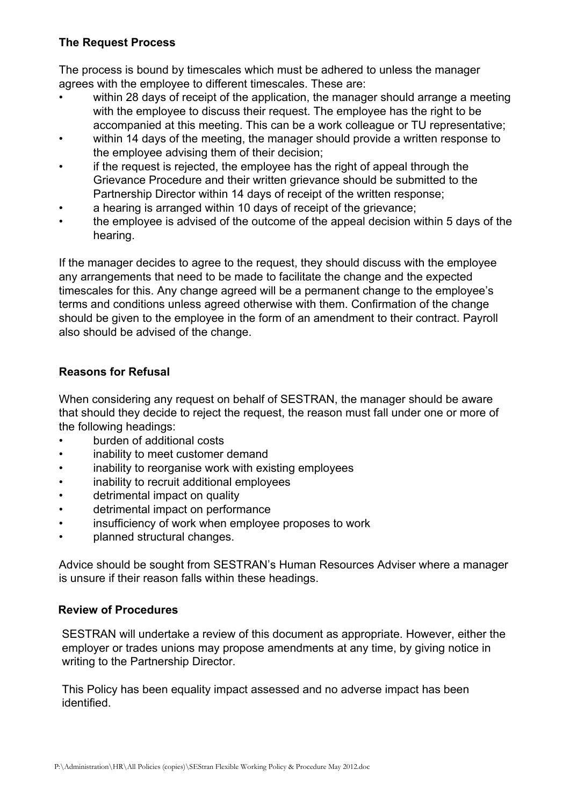## **The Request Process**

The process is bound by timescales which must be adhered to unless the manager agrees with the employee to different timescales. These are:

- within 28 days of receipt of the application, the manager should arrange a meeting with the employee to discuss their request. The employee has the right to be accompanied at this meeting. This can be a work colleague or TU representative;
- within 14 days of the meeting, the manager should provide a written response to the employee advising them of their decision;
- if the request is rejected, the employee has the right of appeal through the Grievance Procedure and their written grievance should be submitted to the Partnership Director within 14 days of receipt of the written response;
- a hearing is arranged within 10 days of receipt of the grievance;
- the employee is advised of the outcome of the appeal decision within 5 days of the hearing.

If the manager decides to agree to the request, they should discuss with the employee any arrangements that need to be made to facilitate the change and the expected timescales for this. Any change agreed will be a permanent change to the employee's terms and conditions unless agreed otherwise with them. Confirmation of the change should be given to the employee in the form of an amendment to their contract. Payroll also should be advised of the change.

# **Reasons for Refusal**

When considering any request on behalf of SESTRAN, the manager should be aware that should they decide to reject the request, the reason must fall under one or more of the following headings:

- burden of additional costs
- inability to meet customer demand
- inability to reorganise work with existing employees
- inability to recruit additional employees
- detrimental impact on quality
- detrimental impact on performance
- insufficiency of work when employee proposes to work
- planned structural changes.

Advice should be sought from SESTRAN's Human Resources Adviser where a manager is unsure if their reason falls within these headings.

## **Review of Procedures**

SESTRAN will undertake a review of this document as appropriate. However, either the employer or trades unions may propose amendments at any time, by giving notice in writing to the Partnership Director.

This Policy has been equality impact assessed and no adverse impact has been identified.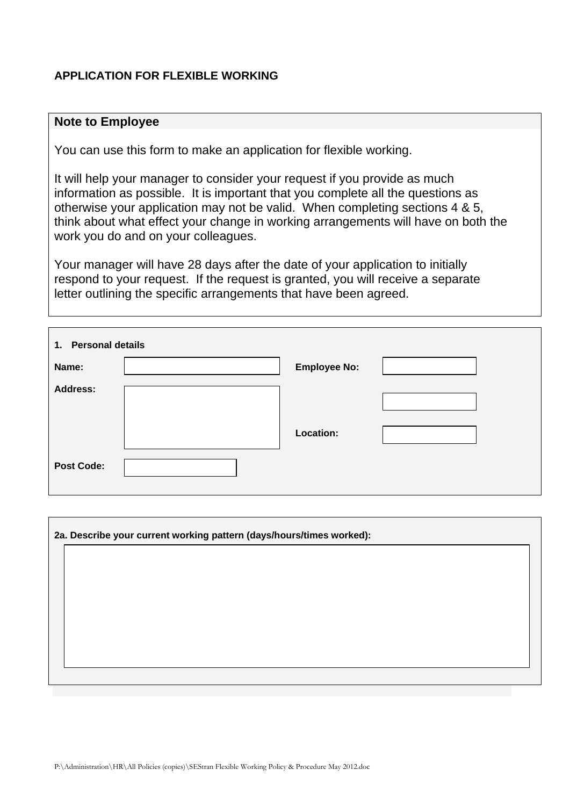#### **APPLICATION FOR FLEXIBLE WORKING**

#### **Note to Employee**

You can use this form to make an application for flexible working.

It will help your manager to consider your request if you provide as much information as possible. It is important that you complete all the questions as otherwise your application may not be valid. When completing sections 4 & 5, think about what effect your change in working arrangements will have on both the work you do and on your colleagues.

Your manager will have 28 days after the date of your application to initially respond to your request. If the request is granted, you will receive a separate letter outlining the specific arrangements that have been agreed.

| 1. Personal details |  |                     |  |  |  |
|---------------------|--|---------------------|--|--|--|
| Name:               |  | <b>Employee No:</b> |  |  |  |
| <b>Address:</b>     |  | Location:           |  |  |  |
| <b>Post Code:</b>   |  |                     |  |  |  |

| 2a. Describe your current working pattern (days/hours/times worked): |  |  |  |
|----------------------------------------------------------------------|--|--|--|
|                                                                      |  |  |  |
|                                                                      |  |  |  |
|                                                                      |  |  |  |
|                                                                      |  |  |  |
|                                                                      |  |  |  |
|                                                                      |  |  |  |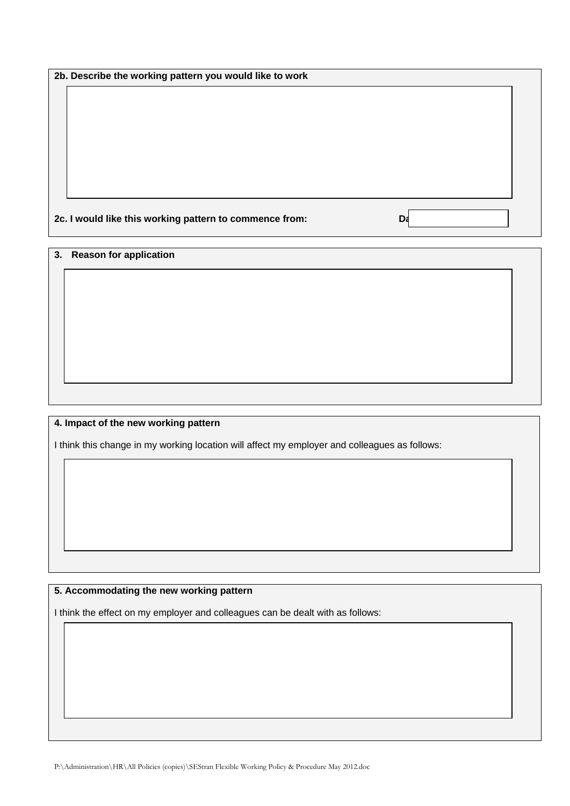**2b. Describe the working pattern you would like to work** 

**2c. I would like this working pattern to commence from:** Data

**3. Reason for application**

#### **4. Impact of the new working pattern**

I think this change in my working location will affect my employer and colleagues as follows:

#### **5. Accommodating the new working pattern**

I think the effect on my employer and colleagues can be dealt with as follows: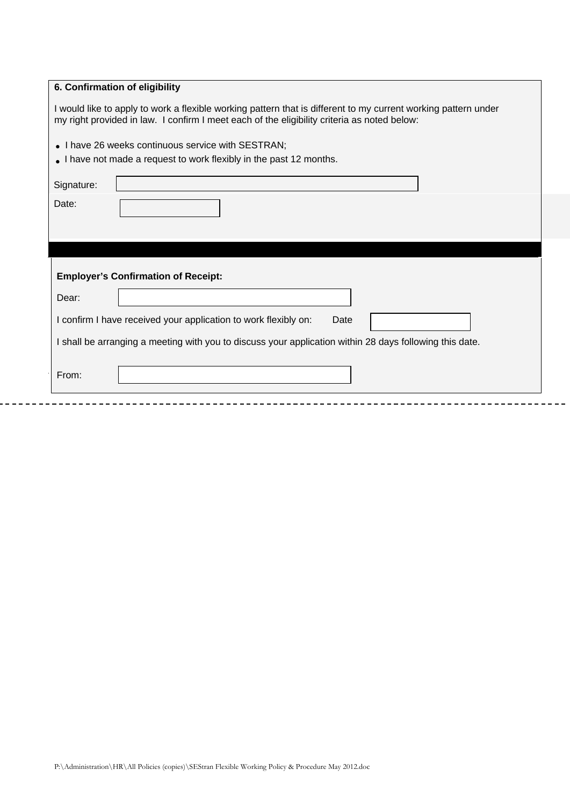| I would like to apply to work a flexible working pattern that is different to my current working pattern under<br>my right provided in law. I confirm I meet each of the eligibility criteria as noted below: |  |  |  |
|---------------------------------------------------------------------------------------------------------------------------------------------------------------------------------------------------------------|--|--|--|
| • I have 26 weeks continuous service with SESTRAN;                                                                                                                                                            |  |  |  |
| • I have not made a request to work flexibly in the past 12 months.                                                                                                                                           |  |  |  |
| Signature:                                                                                                                                                                                                    |  |  |  |
| Date:                                                                                                                                                                                                         |  |  |  |
|                                                                                                                                                                                                               |  |  |  |
|                                                                                                                                                                                                               |  |  |  |
|                                                                                                                                                                                                               |  |  |  |
| <b>Employer's Confirmation of Receipt:</b>                                                                                                                                                                    |  |  |  |
| Dear:                                                                                                                                                                                                         |  |  |  |
| I confirm I have received your application to work flexibly on:<br>Date                                                                                                                                       |  |  |  |
| I shall be arranging a meeting with you to discuss your application within 28 days following this date.                                                                                                       |  |  |  |
| From:                                                                                                                                                                                                         |  |  |  |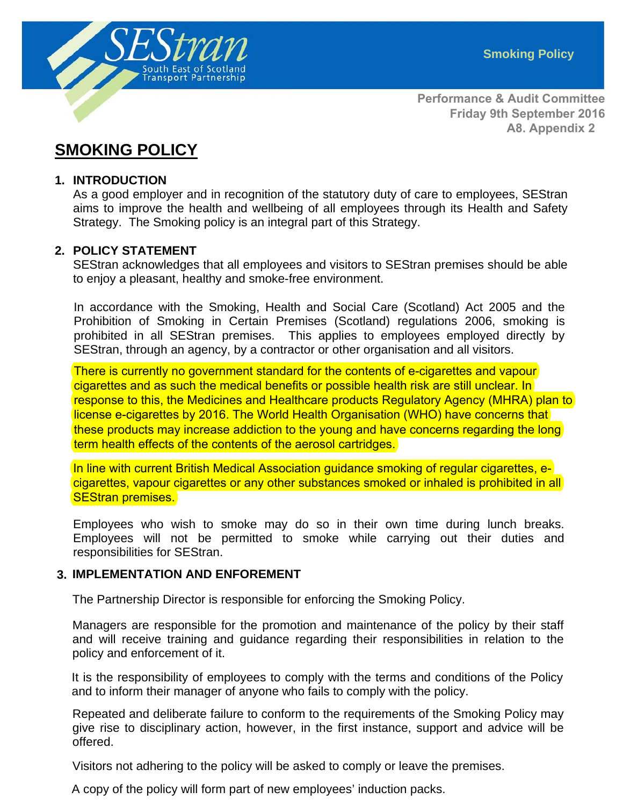

**Performance & Audit Committee Friday 9th September 2016 A8. Appendix 2**

# **SMOKING POLICY**

#### **1. INTRODUCTION**

As a good employer and in recognition of the statutory duty of care to employees, SEStran aims to improve the health and wellbeing of all employees through its Health and Safety Strategy. The Smoking policy is an integral part of this Strategy.

#### **2. POLICY STATEMENT**

SEStran acknowledges that all employees and visitors to SEStran premises should be able to enjoy a pleasant, healthy and smoke-free environment.

In accordance with the Smoking, Health and Social Care (Scotland) Act 2005 and the Prohibition of Smoking in Certain Premises (Scotland) regulations 2006, smoking is prohibited in all SEStran premises. This applies to employees employed directly by SEStran, through an agency, by a contractor or other organisation and all visitors.

There is currently no government standard for the contents of e-cigarettes and vapour cigarettes and as such the medical benefits or possible health risk are still unclear. In response to this, the Medicines and Healthcare products Regulatory Agency (MHRA) plan to license e-cigarettes by 2016. The World Health Organisation (WHO) have concerns that these products may increase addiction to the young and have concerns regarding the long term health effects of the contents of the aerosol cartridges.

In line with current British Medical Association guidance smoking of regular cigarettes, ecigarettes, vapour cigarettes or any other substances smoked or inhaled is prohibited in all SEStran premises.

Employees who wish to smoke may do so in their own time during lunch breaks. Employees will not be permitted to smoke while carrying out their duties and responsibilities for SEStran.

#### **3. IMPLEMENTATION AND ENFOREMENT**

The Partnership Director is responsible for enforcing the Smoking Policy.

Managers are responsible for the promotion and maintenance of the policy by their staff and will receive training and guidance regarding their responsibilities in relation to the policy and enforcement of it.

It is the responsibility of employees to comply with the terms and conditions of the Policy and to inform their manager of anyone who fails to comply with the policy.

Repeated and deliberate failure to conform to the requirements of the Smoking Policy may give rise to disciplinary action, however, in the first instance, support and advice will be offered.

Visitors not adhering to the policy will be asked to comply or leave the premises.

A copy of the policy will form part of new employees' induction packs.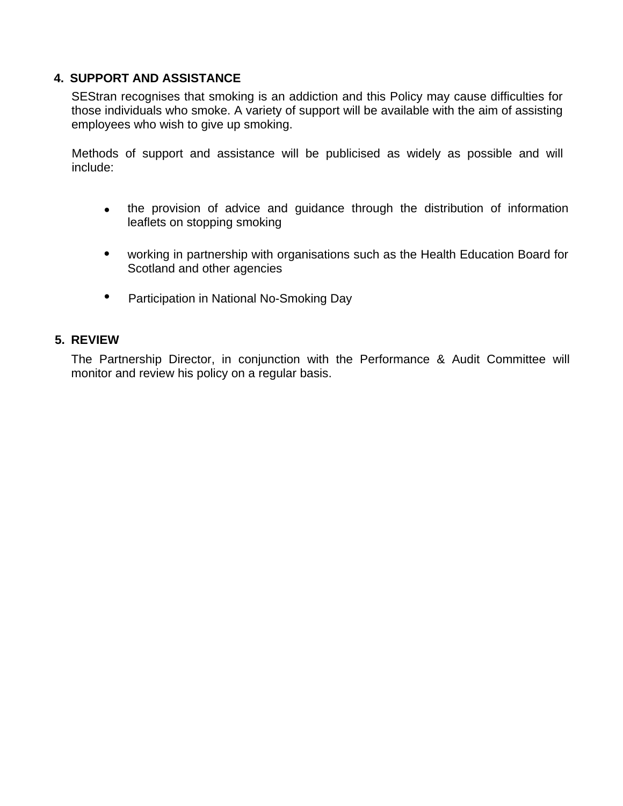#### **4. SUPPORT AND ASSISTANCE**

SEStran recognises that smoking is an addiction and this Policy may cause difficulties for those individuals who smoke. A variety of support will be available with the aim of assisting employees who wish to give up smoking.

Methods of support and assistance will be publicised as widely as possible and will include:

- the provision of advice and guidance through the distribution of information leaflets on stopping smoking
- $\bullet$  working in partnership with organisations such as the Health Education Board for Scotland and other agencies
- Participation in National No-Smoking Day

#### **5. REVIEW**

The Partnership Director, in conjunction with the Performance & Audit Committee will monitor and review his policy on a regular basis.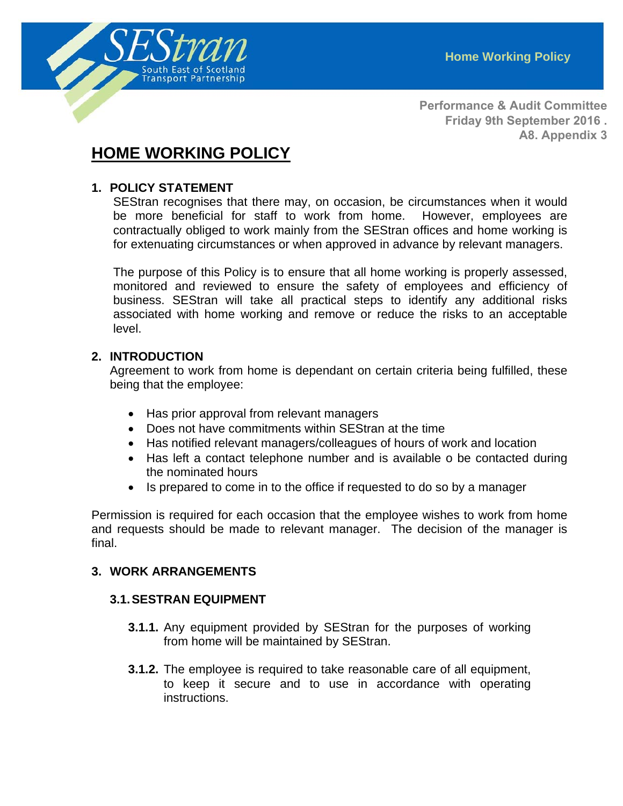

**Performance & Audit Committee Friday 9th September 2016 . A8. Appendix 3**

# **HOME WORKING POLICY**

#### **1. POLICY STATEMENT**

SEStran recognises that there may, on occasion, be circumstances when it would be more beneficial for staff to work from home. However, employees are contractually obliged to work mainly from the SEStran offices and home working is for extenuating circumstances or when approved in advance by relevant managers.

The purpose of this Policy is to ensure that all home working is properly assessed, monitored and reviewed to ensure the safety of employees and efficiency of business. SEStran will take all practical steps to identify any additional risks associated with home working and remove or reduce the risks to an acceptable level.

#### **2. INTRODUCTION**

Agreement to work from home is dependant on certain criteria being fulfilled, these being that the employee:

- Has prior approval from relevant managers
- Does not have commitments within SEStran at the time
- Has notified relevant managers/colleagues of hours of work and location
- Has left a contact telephone number and is available o be contacted during the nominated hours
- Is prepared to come in to the office if requested to do so by a manager

Permission is required for each occasion that the employee wishes to work from home and requests should be made to relevant manager. The decision of the manager is final.

#### **3. WORK ARRANGEMENTS**

#### **3.1. SESTRAN EQUIPMENT**

- **3.1.1.** Any equipment provided by SEStran for the purposes of working from home will be maintained by SEStran.
- **3.1.2.** The employee is required to take reasonable care of all equipment, to keep it secure and to use in accordance with operating instructions.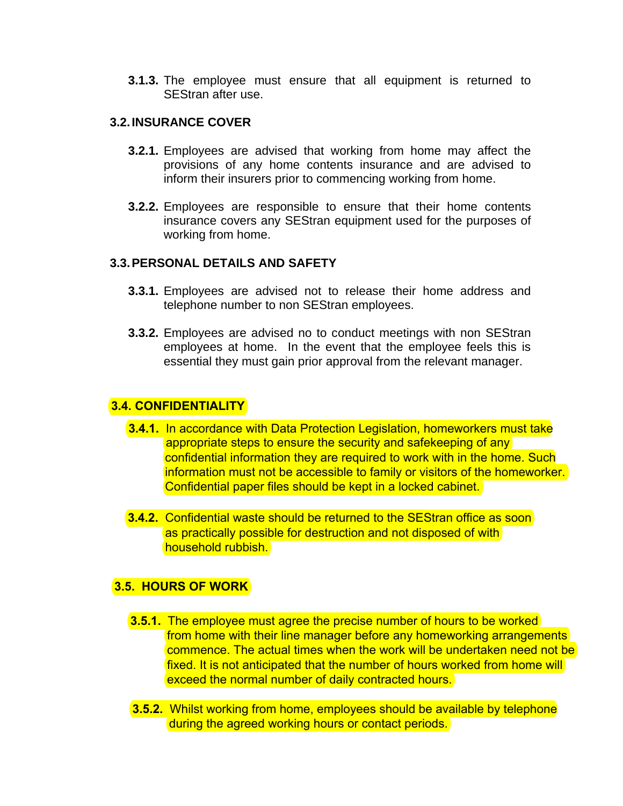**3.1.3.** The employee must ensure that all equipment is returned to SEStran after use.

#### **3.2. INSURANCE COVER**

- **3.2.1.** Employees are advised that working from home may affect the provisions of any home contents insurance and are advised to inform their insurers prior to commencing working from home.
- **3.2.2.** Employees are responsible to ensure that their home contents insurance covers any SEStran equipment used for the purposes of working from home.

#### **3.3. PERSONAL DETAILS AND SAFETY**

- **3.3.1.** Employees are advised not to release their home address and telephone number to non SEStran employees.
- **3.3.2.** Employees are advised no to conduct meetings with non SEStran employees at home. In the event that the employee feels this is essential they must gain prior approval from the relevant manager.

#### **3.4. CONFIDENTIALITY**

- **3.4.1.** In accordance with Data Protection Legislation, homeworkers must take appropriate steps to ensure the security and safekeeping of any confidential information they are required to work with in the home. Such information must not be accessible to family or visitors of the homeworker. Confidential paper files should be kept in a locked cabinet.
- **3.4.2.** Confidential waste should be returned to the SEStran office as soon as practically possible for destruction and not disposed of with household rubbish.

#### **3.5. HOURS OF WORK**

- **3.5.1.** The employee must agree the precise number of hours to be worked from home with their line manager before any homeworking arrangements commence. The actual times when the work will be undertaken need not be fixed. It is not anticipated that the number of hours worked from home will exceed the normal number of daily contracted hours.
- **3.5.2.** Whilst working from home, employees should be available by telephone during the agreed working hours or contact periods.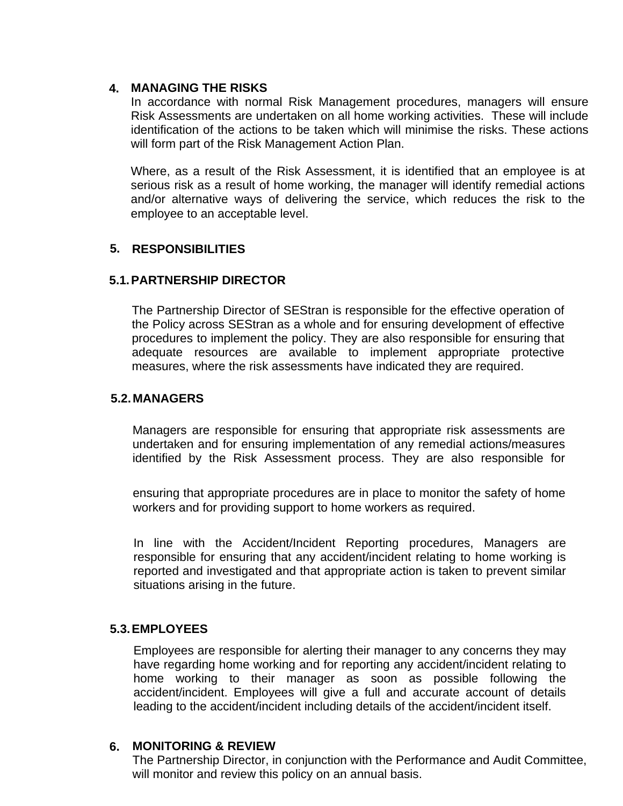## **MANAGING THE RISKS 4.**

In accordance with normal Risk Management procedures, managers will ensure Risk Assessments are undertaken on all home working activities. These will include identification of the actions to be taken which will minimise the risks. These actions will form part of the Risk Management Action Plan.

Where, as a result of the Risk Assessment, it is identified that an employee is at serious risk as a result of home working, the manager will identify remedial actions and/or alternative ways of delivering the service, which reduces the risk to the employee to an acceptable level.

#### **5. RESPONSIBILITIES**

#### **5.1. PARTNERSHIP DIRECTOR**

The Partnership Director of SEStran is responsible for the effective operation of the Policy across SEStran as a whole and for ensuring development of effective procedures to implement the policy. They are also responsible for ensuring that adequate resources are available to implement appropriate protective measures, where the risk assessments have indicated they are required.

#### **5.2. MANAGERS**

Managers are responsible for ensuring that appropriate risk assessments are undertaken and for ensuring implementation of any remedial actions/measures identified by the Risk Assessment process. They are also responsible for

ensuring that appropriate procedures are in place to monitor the safety of home workers and for providing support to home workers as required.

In line with the Accident/Incident Reporting procedures, Managers are responsible for ensuring that any accident/incident relating to home working is reported and investigated and that appropriate action is taken to prevent similar situations arising in the future.

#### **5.3. EMPLOYEES**

Employees are responsible for alerting their manager to any concerns they may have regarding home working and for reporting any accident/incident relating to home working to their manager as soon as possible following the accident/incident. Employees will give a full and accurate account of details leading to the accident/incident including details of the accident/incident itself.

#### **6. MONITORING & REVIEW**

The Partnership Director, in conjunction with the Performance and Audit Committee, will monitor and review this policy on an annual basis.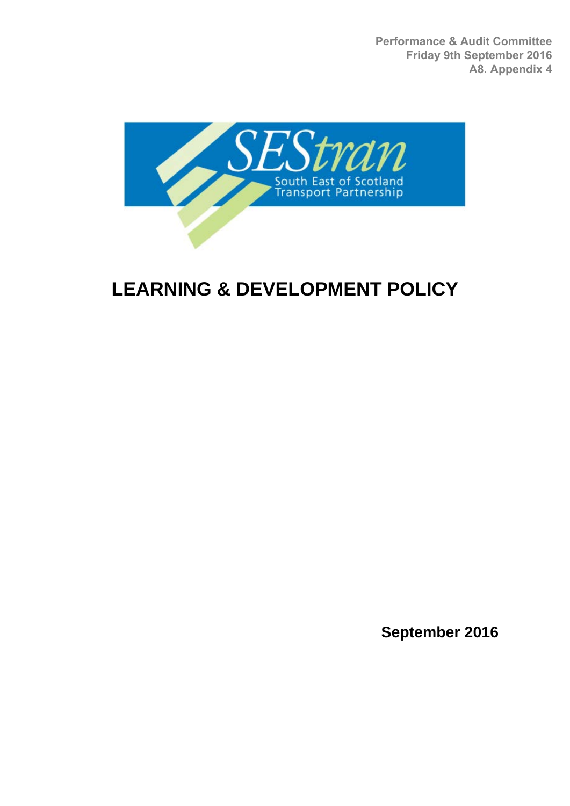**Performance & Audit Committee Friday 9th September 2016 A8. Appendix 4**



# **LEARNING & DEVELOPMENT POLICY**

**September 2016**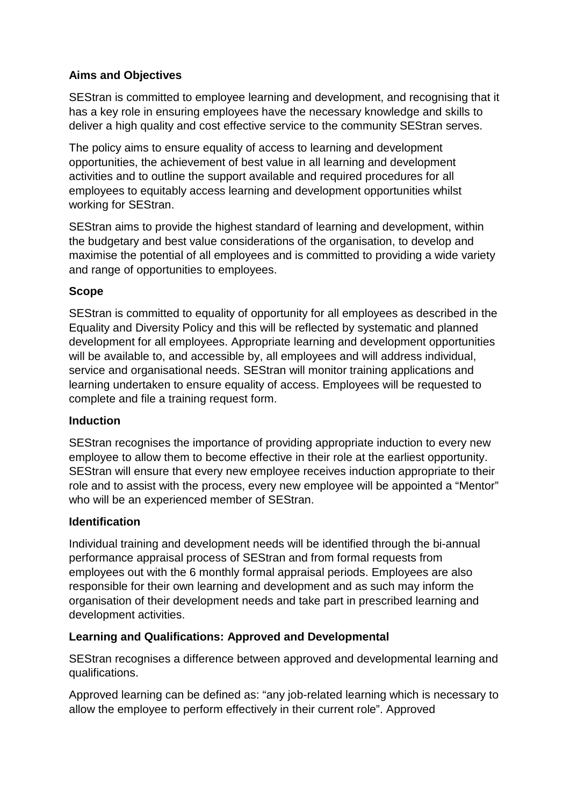## **Aims and Objectives**

SEStran is committed to employee learning and development, and recognising that it has a key role in ensuring employees have the necessary knowledge and skills to deliver a high quality and cost effective service to the community SEStran serves.

The policy aims to ensure equality of access to learning and development opportunities, the achievement of best value in all learning and development activities and to outline the support available and required procedures for all employees to equitably access learning and development opportunities whilst working for SEStran.

SEStran aims to provide the highest standard of learning and development, within the budgetary and best value considerations of the organisation, to develop and maximise the potential of all employees and is committed to providing a wide variety and range of opportunities to employees.

## **Scope**

SEStran is committed to equality of opportunity for all employees as described in the Equality and Diversity Policy and this will be reflected by systematic and planned development for all employees. Appropriate learning and development opportunities will be available to, and accessible by, all employees and will address individual, service and organisational needs. SEStran will monitor training applications and learning undertaken to ensure equality of access. Employees will be requested to complete and file a training request form.

## **Induction**

SEStran recognises the importance of providing appropriate induction to every new employee to allow them to become effective in their role at the earliest opportunity. SEStran will ensure that every new employee receives induction appropriate to their role and to assist with the process, every new employee will be appointed a "Mentor" who will be an experienced member of SEStran.

## **Identification**

Individual training and development needs will be identified through the bi-annual performance appraisal process of SEStran and from formal requests from employees out with the 6 monthly formal appraisal periods. Employees are also responsible for their own learning and development and as such may inform the organisation of their development needs and take part in prescribed learning and development activities.

# **Learning and Qualifications: Approved and Developmental**

SEStran recognises a difference between approved and developmental learning and qualifications.

Approved learning can be defined as: "any job-related learning which is necessary to allow the employee to perform effectively in their current role". Approved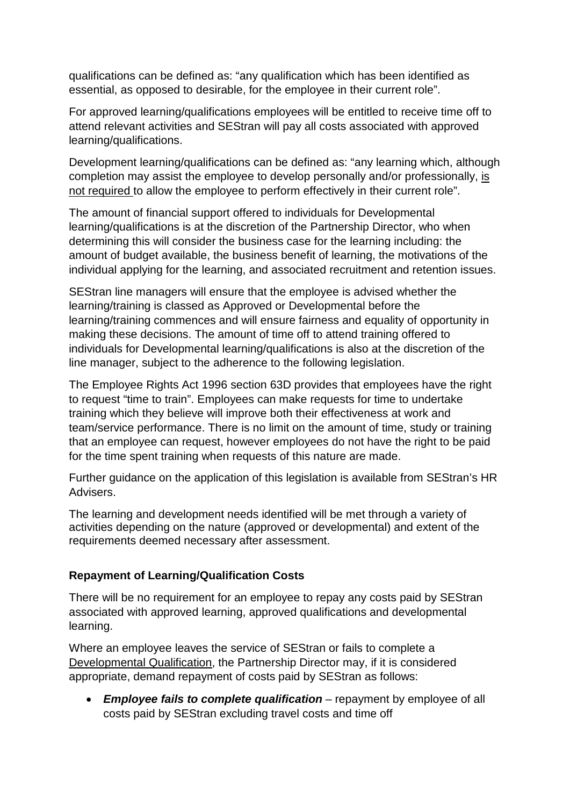qualifications can be defined as: "any qualification which has been identified as essential, as opposed to desirable, for the employee in their current role".

For approved learning/qualifications employees will be entitled to receive time off to attend relevant activities and SEStran will pay all costs associated with approved learning/qualifications.

Development learning/qualifications can be defined as: "any learning which, although completion may assist the employee to develop personally and/or professionally, is not required to allow the employee to perform effectively in their current role".

The amount of financial support offered to individuals for Developmental learning/qualifications is at the discretion of the Partnership Director, who when determining this will consider the business case for the learning including: the amount of budget available, the business benefit of learning, the motivations of the individual applying for the learning, and associated recruitment and retention issues.

SEStran line managers will ensure that the employee is advised whether the learning/training is classed as Approved or Developmental before the learning/training commences and will ensure fairness and equality of opportunity in making these decisions. The amount of time off to attend training offered to individuals for Developmental learning/qualifications is also at the discretion of the line manager, subject to the adherence to the following legislation.

The Employee Rights Act 1996 section 63D provides that employees have the right to request "time to train". Employees can make requests for time to undertake training which they believe will improve both their effectiveness at work and team/service performance. There is no limit on the amount of time, study or training that an employee can request, however employees do not have the right to be paid for the time spent training when requests of this nature are made.

Further guidance on the application of this legislation is available from SEStran's HR Advisers.

The learning and development needs identified will be met through a variety of activities depending on the nature (approved or developmental) and extent of the requirements deemed necessary after assessment.

## **Repayment of Learning/Qualification Costs**

There will be no requirement for an employee to repay any costs paid by SEStran associated with approved learning, approved qualifications and developmental learning.

Where an employee leaves the service of SEStran or fails to complete a Developmental Qualification, the Partnership Director may, if it is considered appropriate, demand repayment of costs paid by SEStran as follows:

• *Employee fails to complete qualification* – repayment by employee of all costs paid by SEStran excluding travel costs and time off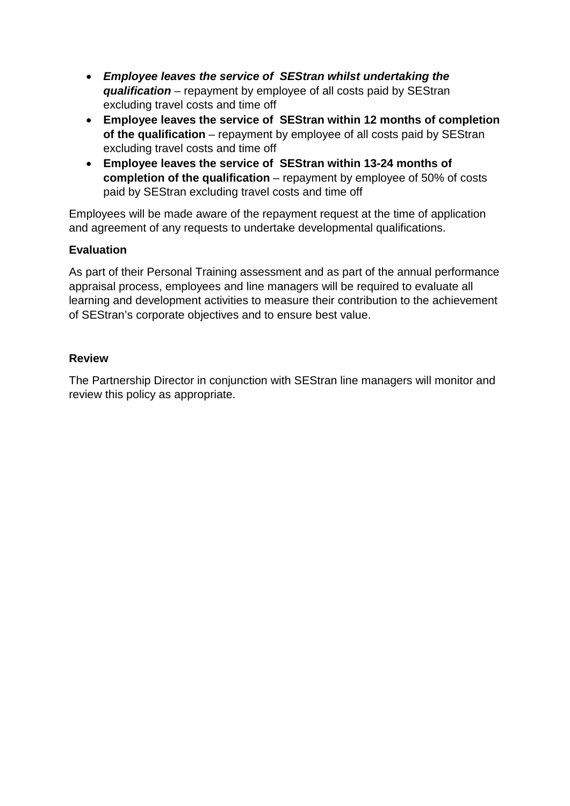- *Employee leaves the service of SEStran whilst undertaking the qualification* – repayment by employee of all costs paid by SEStran excluding travel costs and time off
- **Employee leaves the service of SEStran within 12 months of completion of the qualification** – repayment by employee of all costs paid by SEStran excluding travel costs and time off
- **Employee leaves the service of SEStran within 13-24 months of completion of the qualification** – repayment by employee of 50% of costs paid by SEStran excluding travel costs and time off

Employees will be made aware of the repayment request at the time of application and agreement of any requests to undertake developmental qualifications.

## **Evaluation**

As part of their Personal Training assessment and as part of the annual performance appraisal process, employees and line managers will be required to evaluate all learning and development activities to measure their contribution to the achievement of SEStran's corporate objectives and to ensure best value.

#### **Review**

The Partnership Director in conjunction with SEStran line managers will monitor and review this policy as appropriate.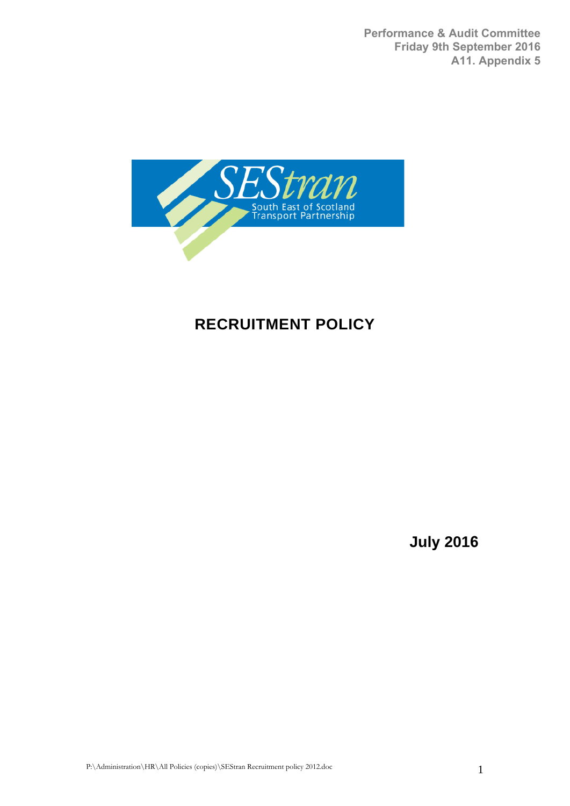**Performance & Audit Committee Friday 9th September 2016 A11. Appendix 5**



# **RECRUITMENT POLICY**

**July 2016**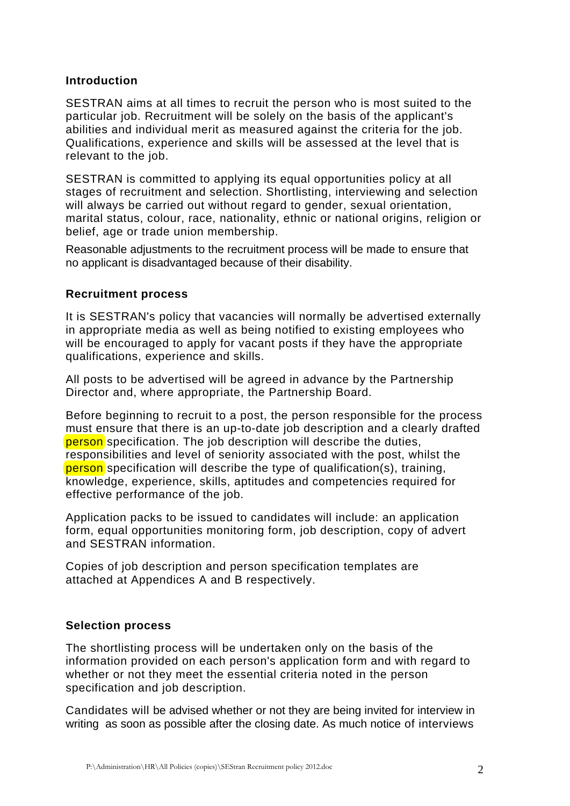#### **Introduction**

SESTRAN aims at all times to recruit the person who is most suited to the particular job. Recruitment will be solely on the basis of the applicant's abilities and individual merit as measured against the criteria for the job. Qualifications, experience and skills will be assessed at the level that is relevant to the job.

SESTRAN is committed to applying its equal opportunities policy at all stages of recruitment and selection. Shortlisting, interviewing and selection will always be carried out without regard to gender, sexual orientation, marital status, colour, race, nationality, ethnic or national origins, religion or belief, age or trade union membership.

Reasonable adjustments to the recruitment process will be made to ensure that no applicant is disadvantaged because of their disability.

#### **Recruitment process**

It is SESTRAN's policy that vacancies will normally be advertised externally in appropriate media as well as being notified to existing employees who will be encouraged to apply for vacant posts if they have the appropriate qualifications, experience and skills.

All posts to be advertised will be agreed in advance by the Partnership Director and, where appropriate, the Partnership Board.

Before beginning to recruit to a post, the person responsible for the process must ensure that there is an up-to-date job description and a clearly drafted person specification. The job description will describe the duties, responsibilities and level of seniority associated with the post, whilst the person specification will describe the type of qualification(s), training, knowledge, experience, skills, aptitudes and competencies required for effective performance of the job.

Application packs to be issued to candidates will include: an application form, equal opportunities monitoring form, job description, copy of advert and SESTRAN information.

Copies of job description and person specification templates are attached at Appendices A and B respectively.

#### **Selection process**

The shortlisting process will be undertaken only on the basis of the information provided on each person's application form and with regard to whether or not they meet the essential criteria noted in the person specification and job description.

Candidates will be advised whether or not they are being invited for interview in writing as soon as possible after the closing date. As much notice of interviews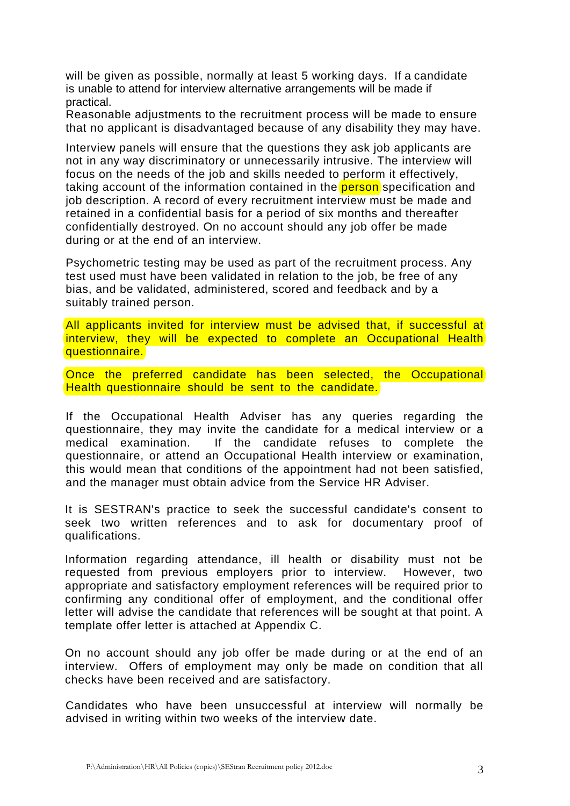will be given as possible, normally at least 5 working days. If a candidate is unable to attend for interview alternative arrangements will be made if practical.

Reasonable adjustments to the recruitment process will be made to ensure that no applicant is disadvantaged because of any disability they may have.

Interview panels will ensure that the questions they ask job applicants are not in any way discriminatory or unnecessarily intrusive. The interview will focus on the needs of the job and skills needed to perform it effectively, taking account of the information contained in the **person** specification and job description. A record of every recruitment interview must be made and retained in a confidential basis for a period of six months and thereafter confidentially destroyed. On no account should any job offer be made during or at the end of an interview.

Psychometric testing may be used as part of the recruitment process. Any test used must have been validated in relation to the job, be free of any bias, and be validated, administered, scored and feedback and by a suitably trained person.

All applicants invited for interview must be advised that, if successful at interview, they will be expected to complete an Occupational Health questionnaire.

Once the preferred candidate has been selected, the Occupational Health questionnaire should be sent to the candidate.

If the Occupational Health Adviser has any queries regarding the questionnaire, they may invite the candidate for a medical interview or a medical examination. If the candidate refuses to complete the questionnaire, or attend an Occupational Health interview or examination, this would mean that conditions of the appointment had not been satisfied, and the manager must obtain advice from the Service HR Adviser.

It is SESTRAN's practice to seek the successful candidate's consent to seek two written references and to ask for documentary proof of qualifications.

Information regarding attendance, ill health or disability must not be requested from previous employers prior to interview. However, two appropriate and satisfactory employment references will be required prior to confirming any conditional offer of employment, and the conditional offer letter will advise the candidate that references will be sought at that point. A template offer letter is attached at Appendix C.

On no account should any job offer be made during or at the end of an interview. Offers of employment may only be made on condition that all checks have been received and are satisfactory.

Candidates who have been unsuccessful at interview will normally be advised in writing within two weeks of the interview date.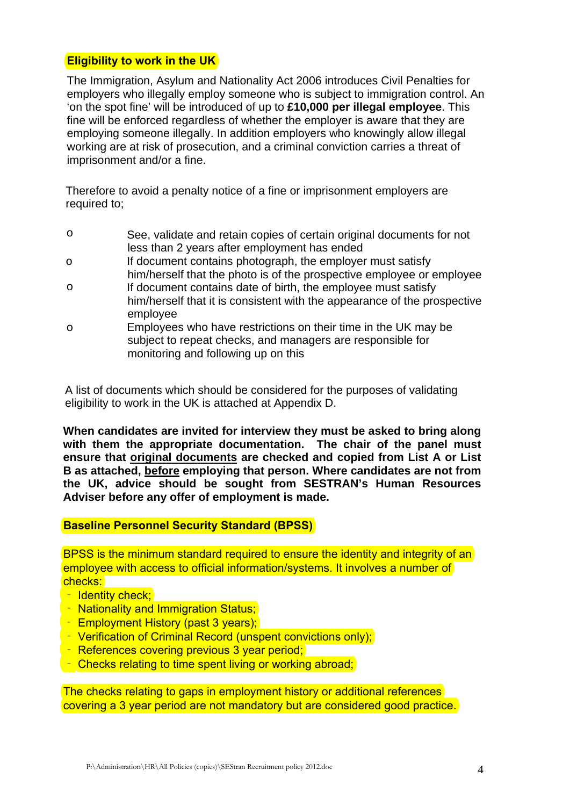#### **Eligibility to work in the UK**

The Immigration, Asylum and Nationality Act 2006 introduces Civil Penalties for employers who illegally employ someone who is subject to immigration control. An 'on the spot fine' will be introduced of up to **£10,000 per illegal employee**. This fine will be enforced regardless of whether the employer is aware that they are employing someone illegally. In addition employers who knowingly allow illegal working are at risk of prosecution, and a criminal conviction carries a threat of imprisonment and/or a fine.

Therefore to avoid a penalty notice of a fine or imprisonment employers are required to;

- o See, validate and retain copies of certain original documents for not less than 2 years after employment has ended
- o If document contains photograph, the employer must satisfy him/herself that the photo is of the prospective employee or employee
- o If document contains date of birth, the employee must satisfy him/herself that it is consistent with the appearance of the prospective employee
- o Employees who have restrictions on their time in the UK may be subject to repeat checks, and managers are responsible for monitoring and following up on this

A list of documents which should be considered for the purposes of validating eligibility to work in the UK is attached at Appendix D.

**When candidates are invited for interview they must be asked to bring along with them the appropriate documentation. The chair of the panel must ensure that original documents are checked and copied from List A or List B as attached, before employing that person. Where candidates are not from the UK, advice should be sought from SESTRAN's Human Resources Adviser before any offer of employment is made.** 

#### **Baseline Personnel Security Standard (BPSS)**

BPSS is the minimum standard required to ensure the identity and integrity of an employee with access to official information/systems. It involves a number of checks:

- ‐ Identity check;
- ‐ Nationality and Immigration Status;
- ‐ Employment History (past 3 years);
- ‐ Verification of Criminal Record (unspent convictions only);
- ‐ References covering previous 3 year period;
- ‐ Checks relating to time spent living or working abroad;

The checks relating to gaps in employment history or additional references covering a 3 year period are not mandatory but are considered good practice.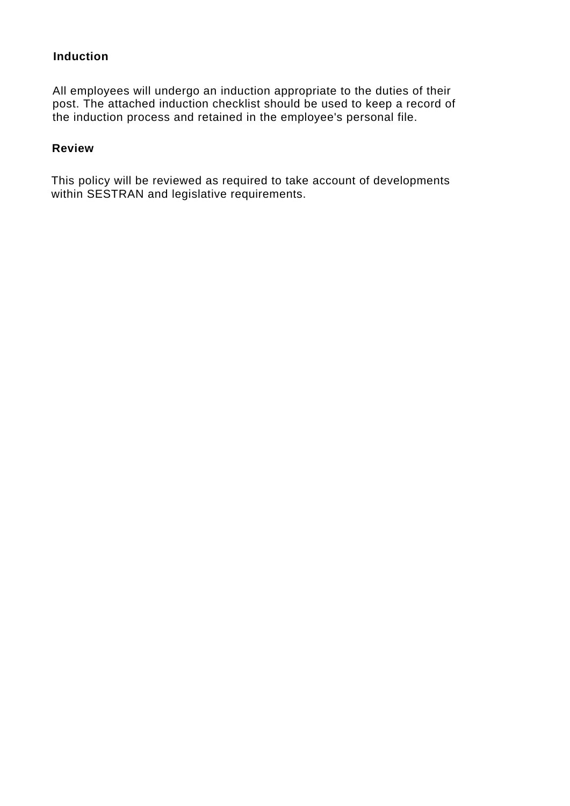#### **Induction**

All employees will undergo an induction appropriate to the duties of their post. The attached induction checklist should be used to keep a record of the induction process and retained in the employee's personal file.

#### **Review**

This policy will be reviewed as required to take account of developments within SESTRAN and legislative requirements.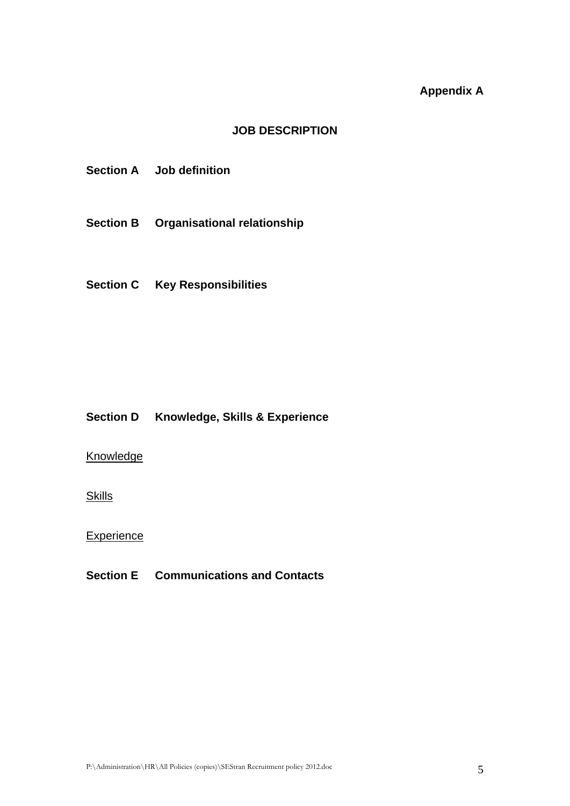# **Appendix A**

#### **JOB DESCRIPTION**

- **Section A Job definition**
- **Section B Organisational relationship**
- **Section C Key Responsibilities**

#### **Section D Knowledge, Skills & Experience**

#### **Knowledge**

**Skills** 

**Experience** 

#### **Section E Communications and Contacts**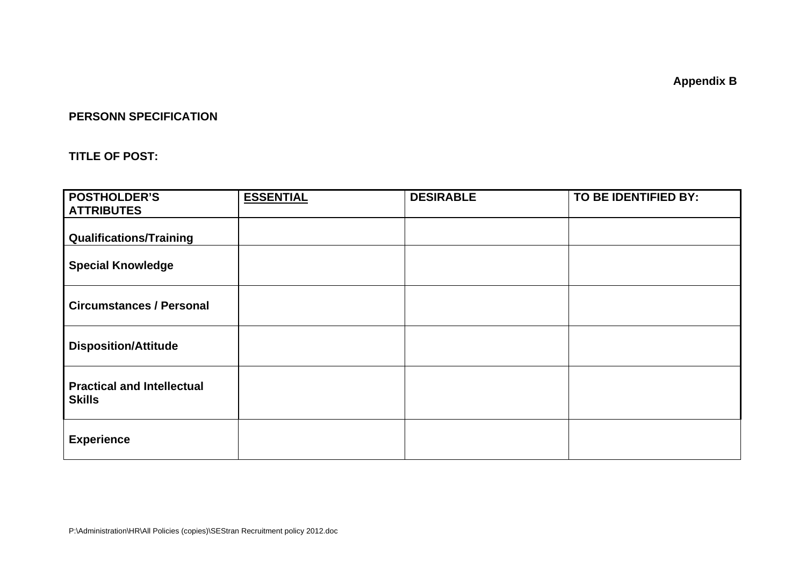**Appendix B** 

#### **PERSONN SPECIFICATION**

#### **TITLE OF POST:**

| <b>POSTHOLDER'S</b><br><b>ATTRIBUTES</b>           | <b>ESSENTIAL</b> | <b>DESIRABLE</b> | TO BE IDENTIFIED BY: |
|----------------------------------------------------|------------------|------------------|----------------------|
| <b>Qualifications/Training</b>                     |                  |                  |                      |
| <b>Special Knowledge</b>                           |                  |                  |                      |
| <b>Circumstances / Personal</b>                    |                  |                  |                      |
| <b>Disposition/Attitude</b>                        |                  |                  |                      |
| <b>Practical and Intellectual</b><br><b>Skills</b> |                  |                  |                      |
| <b>Experience</b>                                  |                  |                  |                      |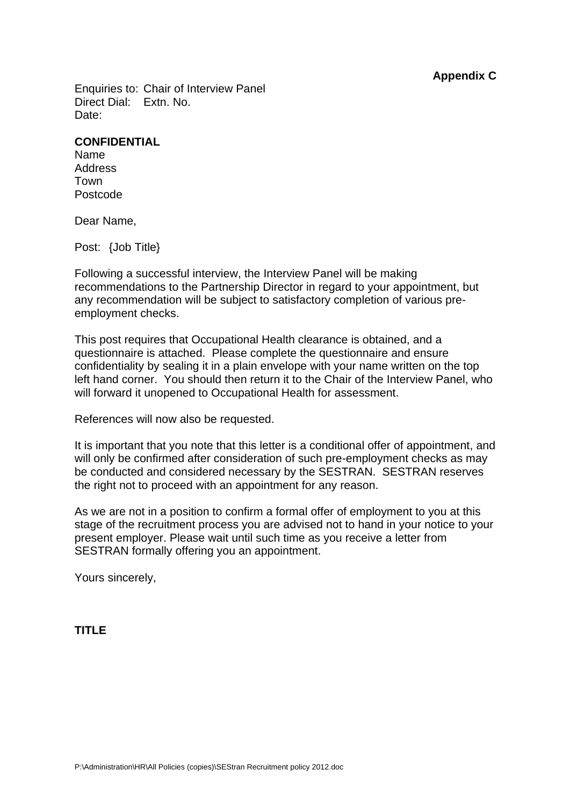**Appendix C** 

Enquiries to: Chair of Interview Panel Direct Dial: Extn. No. Date:

#### **CONFIDENTIAL**

Name Address Town Postcode

Dear Name,

Post: {Job Title}

Following a successful interview, the Interview Panel will be making recommendations to the Partnership Director in regard to your appointment, but any recommendation will be subject to satisfactory completion of various preemployment checks.

This post requires that Occupational Health clearance is obtained, and a questionnaire is attached. Please complete the questionnaire and ensure confidentiality by sealing it in a plain envelope with your name written on the top left hand corner. You should then return it to the Chair of the Interview Panel, who will forward it unopened to Occupational Health for assessment.

References will now also be requested.

It is important that you note that this letter is a conditional offer of appointment, and will only be confirmed after consideration of such pre-employment checks as may be conducted and considered necessary by the SESTRAN. SESTRAN reserves the right not to proceed with an appointment for any reason.

As we are not in a position to confirm a formal offer of employment to you at this stage of the recruitment process you are advised not to hand in your notice to your present employer. Please wait until such time as you receive a letter from SESTRAN formally offering you an appointment.

Yours sincerely,

**TITLE**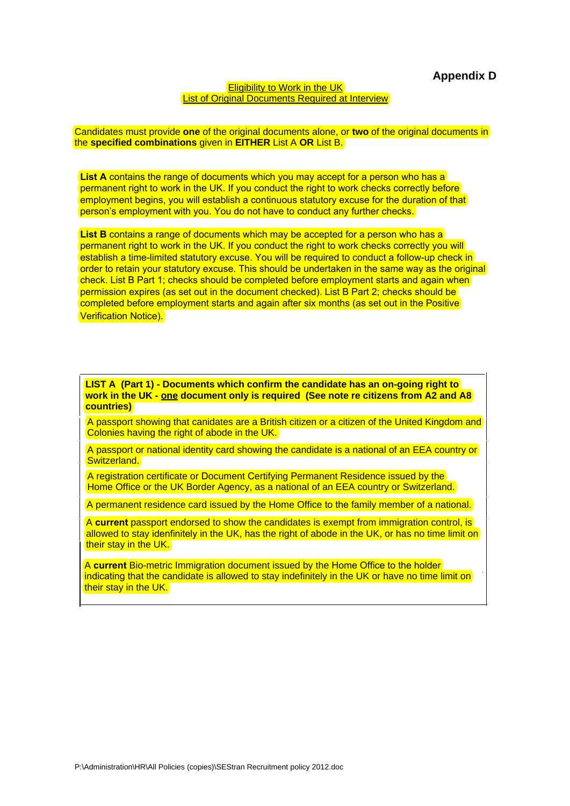#### **Eligibility to Work in the UK** List of Original Documents Required at Interview

Candidates must provide **one** of the original documents alone, or **two** of the original documents in the **specified combinations** given in **EITHER** List A **OR** List B.

List A contains the range of documents which you may accept for a person who has a permanent right to work in the UK. If you conduct the right to work checks correctly before employment begins, you will establish a continuous statutory excuse for the duration of that person's employment with you. You do not have to conduct any further checks.

**List B** contains a range of documents which may be accepted for a person who has a permanent right to work in the UK. If you conduct the right to work checks correctly you will establish a time-limited statutory excuse. You will be required to conduct a follow-up check in order to retain your statutory excuse. This should be undertaken in the same way as the original check. List B Part 1; checks should be completed before employment starts and again when permission expires (as set out in the document checked). List B Part 2; checks should be completed before employment starts and again after six months (as set out in the Positive Verification Notice).

**LIST A (Part 1) - Documents which confirm the candidate has an on-going right to work in the UK - one document only is required (See note re citizens from A2 and A8 countries)** 

A passport showing that canidates are a British citizen or a citizen of the United Kingdom and Colonies having the right of abode in the UK.

A passport or national identity card showing the candidate is a national of an EEA country or Switzerland.

A registration certificate or Document Certifying Permanent Residence issued by the Home Office or the UK Border Agency, as a national of an EEA country or Switzerland.

A permanent residence card issued by the Home Office to the family member of a national.

A **current** passport endorsed to show the candidates is exempt from immigration control, is allowed to stay idenfinitely in the UK, has the right of abode in the UK, or has no time limit on their stay in the UK.

A **current** Bio-metric Immigration document issued by the Home Office to the holder indicating that the candidate is allowed to stay indefinitely in the UK or have no time limit on their stay in the UK.